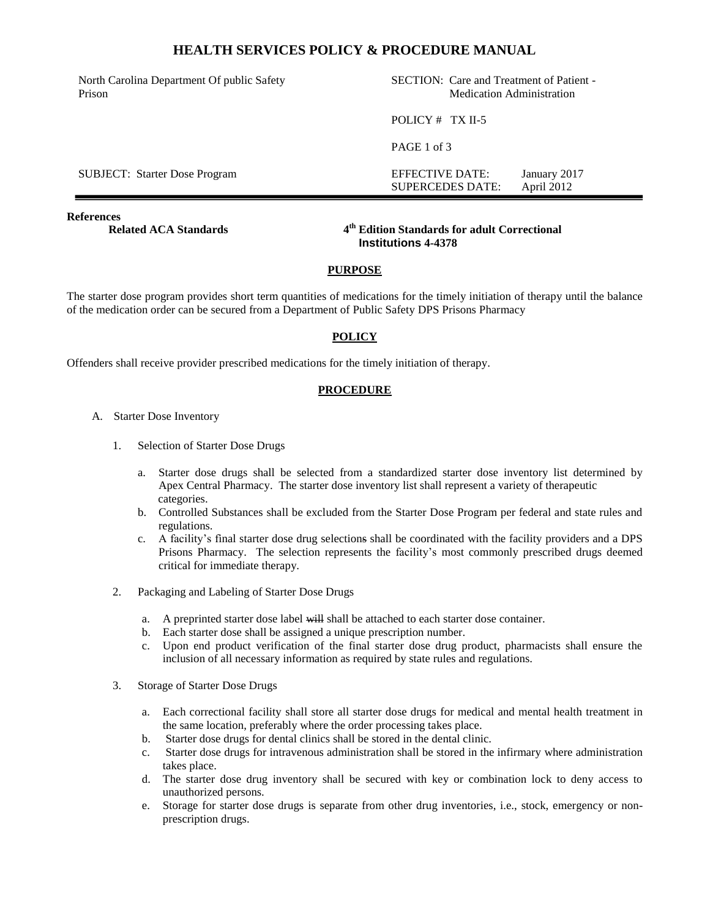## **HEALTH SERVICES POLICY & PROCEDURE MANUAL**

North Carolina Department Of public Safety Prison

SECTION: Care and Treatment of Patient - Medication Administration

SUPERCEDES DATE: April 2012

POLICY # TX II-5

PAGE 1 of 3

SUBJECT: Starter Dose Program EFFECTIVE DATE: January 2017

**References** 

**Related ACA Standards** 

**th Edition Standards for adult Correctional Institutions 4-4378**

### **PURPOSE**

The starter dose program provides short term quantities of medications for the timely initiation of therapy until the balance of the medication order can be secured from a Department of Public Safety DPS Prisons Pharmacy

### **POLICY**

Offenders shall receive provider prescribed medications for the timely initiation of therapy.

#### **PROCEDURE**

- A. Starter Dose Inventory
	- 1. Selection of Starter Dose Drugs
		- a. Starter dose drugs shall be selected from a standardized starter dose inventory list determined by Apex Central Pharmacy. The starter dose inventory list shall represent a variety of therapeutic categories.
		- b. Controlled Substances shall be excluded from the Starter Dose Program per federal and state rules and regulations.
		- c. A facility's final starter dose drug selections shall be coordinated with the facility providers and a DPS Prisons Pharmacy. The selection represents the facility's most commonly prescribed drugs deemed critical for immediate therapy.
	- 2. Packaging and Labeling of Starter Dose Drugs
		- a. A preprinted starter dose label will shall be attached to each starter dose container.
		- b. Each starter dose shall be assigned a unique prescription number.
		- c. Upon end product verification of the final starter dose drug product, pharmacists shall ensure the inclusion of all necessary information as required by state rules and regulations.
	- 3. Storage of Starter Dose Drugs
		- a. Each correctional facility shall store all starter dose drugs for medical and mental health treatment in the same location, preferably where the order processing takes place.
		- b. Starter dose drugs for dental clinics shall be stored in the dental clinic.
		- c. Starter dose drugs for intravenous administration shall be stored in the infirmary where administration takes place.
		- d. The starter dose drug inventory shall be secured with key or combination lock to deny access to unauthorized persons.
		- e. Storage for starter dose drugs is separate from other drug inventories, i.e., stock, emergency or nonprescription drugs.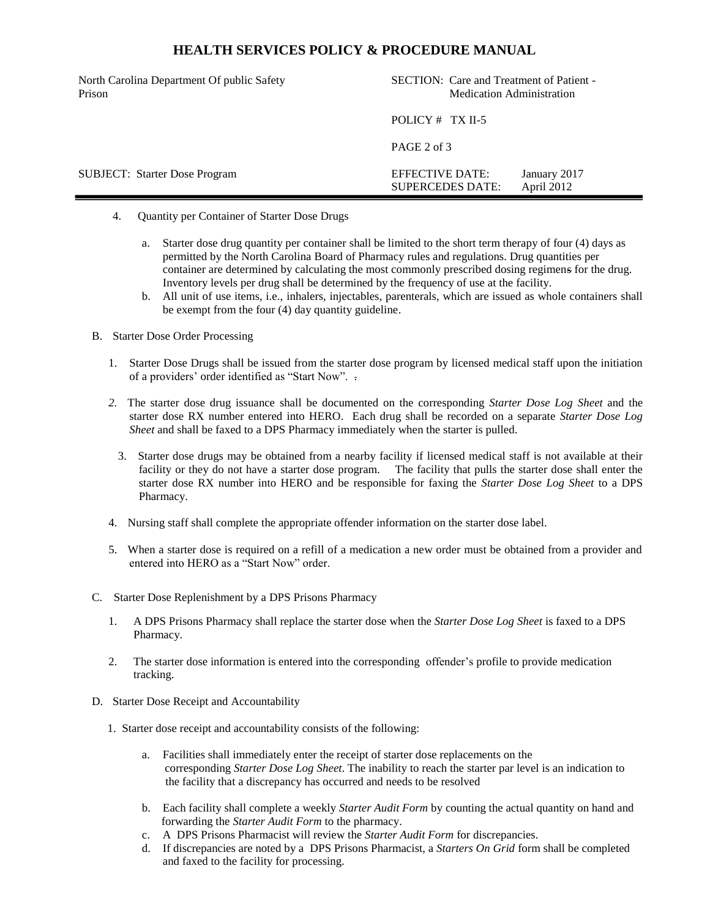# **HEALTH SERVICES POLICY & PROCEDURE MANUAL**

| North Carolina Department Of public Safety<br>Prison |                                            | SECTION: Care and Treatment of Patient -<br><b>Medication Administration</b> |                            |  |
|------------------------------------------------------|--------------------------------------------|------------------------------------------------------------------------------|----------------------------|--|
|                                                      | POLICY $#$ TX II-5                         |                                                                              |                            |  |
|                                                      | PAGE 2 of 3                                |                                                                              |                            |  |
| <b>SUBJECT:</b> Starter Dose Program                 | EFFECTIVE DATE:<br><b>SUPERCEDES DATE:</b> |                                                                              | January 2017<br>April 2012 |  |

- 4. Quantity per Container of Starter Dose Drugs
	- a. Starter dose drug quantity per container shall be limited to the short term therapy of four (4) days as permitted by the North Carolina Board of Pharmacy rules and regulations. Drug quantities per container are determined by calculating the most commonly prescribed dosing regimens for the drug. Inventory levels per drug shall be determined by the frequency of use at the facility.
	- b. All unit of use items, i.e., inhalers, injectables, parenterals, which are issued as whole containers shall be exempt from the four (4) day quantity guideline.
- B. Starter Dose Order Processing
	- 1. Starter Dose Drugs shall be issued from the starter dose program by licensed medical staff upon the initiation of a providers' order identified as "Start Now". .
	- *2.* The starter dose drug issuance shall be documented on the corresponding *Starter Dose Log Sheet* and the starter dose RX number entered into HERO. Each drug shall be recorded on a separate *Starter Dose Log Sheet* and shall be faxed to a DPS Pharmacy immediately when the starter is pulled.
		- 3. Starter dose drugs may be obtained from a nearby facility if licensed medical staff is not available at their facility or they do not have a starter dose program. The facility that pulls the starter dose shall enter the starter dose RX number into HERO and be responsible for faxing the *Starter Dose Log Sheet* to a DPS Pharmacy.
	- 4. Nursing staff shall complete the appropriate offender information on the starter dose label.
	- 5. When a starter dose is required on a refill of a medication a new order must be obtained from a provider and entered into HERO as a "Start Now" order.
- C. Starter Dose Replenishment by a DPS Prisons Pharmacy
	- 1. A DPS Prisons Pharmacy shall replace the starter dose when the *Starter Dose Log Sheet* is faxed to a DPS Pharmacy.
	- 2. The starter dose information is entered into the corresponding offender's profile to provide medication tracking.
- D. Starter Dose Receipt and Accountability
	- 1. Starter dose receipt and accountability consists of the following:
		- a. Facilities shall immediately enter the receipt of starter dose replacements on the corresponding *Starter Dose Log Sheet*. The inability to reach the starter par level is an indication to the facility that a discrepancy has occurred and needs to be resolved
		- b. Each facility shall complete a weekly *Starter Audit Form* by counting the actual quantity on hand and forwarding the *Starter Audit Form* to the pharmacy.
		- c. A DPS Prisons Pharmacist will review the *Starter Audit Form* for discrepancies.
		- d. If discrepancies are noted by a DPS Prisons Pharmacist, a *Starters On Grid* form shall be completed and faxed to the facility for processing.